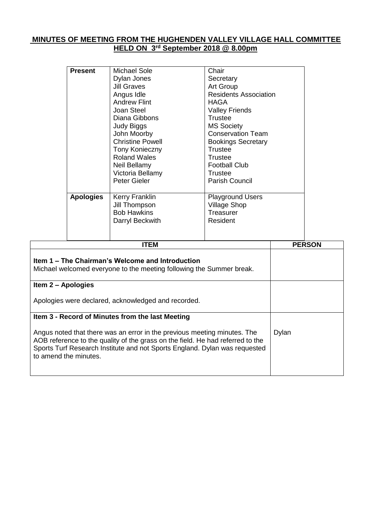## **MINUTES OF MEETING FROM THE HUGHENDEN VALLEY VILLAGE HALL COMMITTEE HELD ON 3 rd September 2018 @ 8.00pm**

|                    | <b>Present</b><br><b>Apologies</b> | <b>Michael Sole</b><br>Dylan Jones<br><b>Jill Graves</b><br>Angus Idle<br><b>Andrew Flint</b><br>Joan Steel<br>Diana Gibbons<br><b>Judy Biggs</b><br>John Moorby<br><b>Christine Powell</b><br><b>Tony Konieczny</b><br><b>Roland Wales</b><br>Neil Bellamy<br>Victoria Bellamy<br>Peter Gieler<br>Kerry Franklin<br>Jill Thompson<br><b>Bob Hawkins</b><br>Darryl Beckwith | Chair<br>Secretary<br>Art Group<br><b>Residents Association</b><br><b>HAGA</b><br><b>Valley Friends</b><br><b>Trustee</b><br><b>MS Society</b><br><b>Conservation Team</b><br><b>Bookings Secretary</b><br><b>Trustee</b><br><b>Trustee</b><br><b>Football Club</b><br><b>Trustee</b><br>Parish Council<br><b>Playground Users</b><br><b>Village Shop</b><br>Treasurer<br>Resident |       |               |
|--------------------|------------------------------------|-----------------------------------------------------------------------------------------------------------------------------------------------------------------------------------------------------------------------------------------------------------------------------------------------------------------------------------------------------------------------------|------------------------------------------------------------------------------------------------------------------------------------------------------------------------------------------------------------------------------------------------------------------------------------------------------------------------------------------------------------------------------------|-------|---------------|
|                    |                                    | <b>ITEM</b>                                                                                                                                                                                                                                                                                                                                                                 |                                                                                                                                                                                                                                                                                                                                                                                    |       | <b>PERSON</b> |
|                    |                                    | Item 1 – The Chairman's Welcome and Introduction<br>Michael welcomed everyone to the meeting following the Summer break.                                                                                                                                                                                                                                                    |                                                                                                                                                                                                                                                                                                                                                                                    |       |               |
| Item 2 - Apologies |                                    |                                                                                                                                                                                                                                                                                                                                                                             |                                                                                                                                                                                                                                                                                                                                                                                    |       |               |
|                    |                                    | Apologies were declared, acknowledged and recorded.                                                                                                                                                                                                                                                                                                                         |                                                                                                                                                                                                                                                                                                                                                                                    |       |               |
|                    |                                    | Item 3 - Record of Minutes from the last Meeting                                                                                                                                                                                                                                                                                                                            |                                                                                                                                                                                                                                                                                                                                                                                    |       |               |
|                    | to amend the minutes.              | Angus noted that there was an error in the previous meeting minutes. The<br>AOB reference to the quality of the grass on the field. He had referred to the<br>Sports Turf Research Institute and not Sports England. Dylan was requested                                                                                                                                    |                                                                                                                                                                                                                                                                                                                                                                                    | Dylan |               |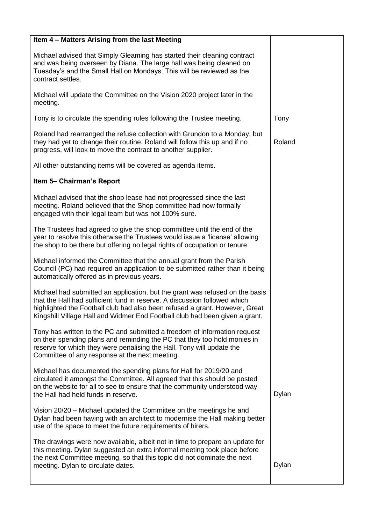| Item 4 - Matters Arising from the last Meeting                                                                                                                                                                                                                                                                          |        |
|-------------------------------------------------------------------------------------------------------------------------------------------------------------------------------------------------------------------------------------------------------------------------------------------------------------------------|--------|
| Michael advised that Simply Gleaming has started their cleaning contract<br>and was being overseen by Diana. The large hall was being cleaned on<br>Tuesday's and the Small Hall on Mondays. This will be reviewed as the<br>contract settles.                                                                          |        |
| Michael will update the Committee on the Vision 2020 project later in the<br>meeting.                                                                                                                                                                                                                                   |        |
| Tony is to circulate the spending rules following the Trustee meeting.                                                                                                                                                                                                                                                  | Tony   |
| Roland had rearranged the refuse collection with Grundon to a Monday, but<br>they had yet to change their routine. Roland will follow this up and if no<br>progress, will look to move the contract to another supplier.                                                                                                | Roland |
| All other outstanding items will be covered as agenda items.                                                                                                                                                                                                                                                            |        |
| Item 5- Chairman's Report                                                                                                                                                                                                                                                                                               |        |
| Michael advised that the shop lease had not progressed since the last<br>meeting. Roland believed that the Shop committee had now formally<br>engaged with their legal team but was not 100% sure.                                                                                                                      |        |
| The Trustees had agreed to give the shop committee until the end of the<br>year to resolve this otherwise the Trustees would issue a 'license' allowing<br>the shop to be there but offering no legal rights of occupation or tenure.                                                                                   |        |
| Michael informed the Committee that the annual grant from the Parish<br>Council (PC) had required an application to be submitted rather than it being<br>automatically offered as in previous years.                                                                                                                    |        |
| Michael had submitted an application, but the grant was refused on the basis<br>that the Hall had sufficient fund in reserve. A discussion followed which<br>highlighted the Football club had also been refused a grant. However, Great<br>Kingshill Village Hall and Widmer End Football club had been given a grant. |        |
| Tony has written to the PC and submitted a freedom of information request<br>on their spending plans and reminding the PC that they too hold monies in<br>reserve for which they were penalising the Hall. Tony will update the<br>Committee of any response at the next meeting.                                       |        |
| Michael has documented the spending plans for Hall for 2019/20 and<br>circulated it amongst the Committee. All agreed that this should be posted<br>on the website for all to see to ensure that the community understood way<br>the Hall had held funds in reserve.                                                    | Dylan  |
| Vision 20/20 – Michael updated the Committee on the meetings he and<br>Dylan had been having with an architect to modernise the Hall making better<br>use of the space to meet the future requirements of hirers.                                                                                                       |        |
| The drawings were now available, albeit not in time to prepare an update for<br>this meeting. Dylan suggested an extra informal meeting took place before<br>the next Committee meeting, so that this topic did not dominate the next                                                                                   | Dylan  |
| meeting. Dylan to circulate dates.                                                                                                                                                                                                                                                                                      |        |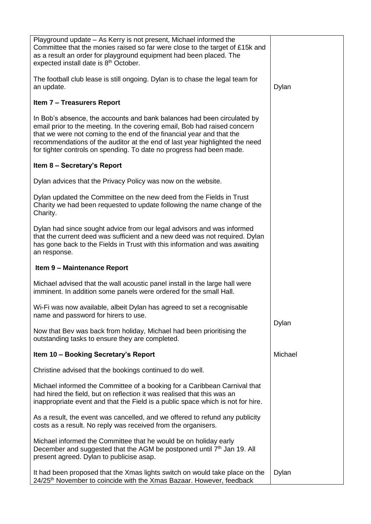| Playground update - As Kerry is not present, Michael informed the<br>Committee that the monies raised so far were close to the target of £15k and<br>as a result an order for playground equipment had been placed. The<br>expected install date is 8 <sup>th</sup> October.                                                                                                         |         |
|--------------------------------------------------------------------------------------------------------------------------------------------------------------------------------------------------------------------------------------------------------------------------------------------------------------------------------------------------------------------------------------|---------|
| The football club lease is still ongoing. Dylan is to chase the legal team for<br>an update.                                                                                                                                                                                                                                                                                         | Dylan   |
| <b>Item 7 - Treasurers Report</b>                                                                                                                                                                                                                                                                                                                                                    |         |
| In Bob's absence, the accounts and bank balances had been circulated by<br>email prior to the meeting. In the covering email, Bob had raised concern<br>that we were not coming to the end of the financial year and that the<br>recommendations of the auditor at the end of last year highlighted the need<br>for tighter controls on spending. To date no progress had been made. |         |
| Item 8 - Secretary's Report                                                                                                                                                                                                                                                                                                                                                          |         |
| Dylan advices that the Privacy Policy was now on the website.                                                                                                                                                                                                                                                                                                                        |         |
| Dylan updated the Committee on the new deed from the Fields in Trust<br>Charity we had been requested to update following the name change of the<br>Charity.                                                                                                                                                                                                                         |         |
| Dylan had since sought advice from our legal advisors and was informed<br>that the current deed was sufficient and a new deed was not required. Dylan<br>has gone back to the Fields in Trust with this information and was awaiting<br>an response.                                                                                                                                 |         |
| Item 9 - Maintenance Report                                                                                                                                                                                                                                                                                                                                                          |         |
|                                                                                                                                                                                                                                                                                                                                                                                      |         |
| Michael advised that the wall acoustic panel install in the large hall were<br>imminent. In addition some panels were ordered for the small Hall.                                                                                                                                                                                                                                    |         |
| Wi-Fi was now available, albeit Dylan has agreed to set a recognisable<br>name and password for hirers to use.                                                                                                                                                                                                                                                                       |         |
| Now that Bev was back from holiday, Michael had been prioritising the<br>outstanding tasks to ensure they are completed.                                                                                                                                                                                                                                                             | Dylan   |
| Item 10 - Booking Secretary's Report                                                                                                                                                                                                                                                                                                                                                 | Michael |
| Christine advised that the bookings continued to do well.                                                                                                                                                                                                                                                                                                                            |         |
| Michael informed the Committee of a booking for a Caribbean Carnival that<br>had hired the field, but on reflection it was realised that this was an<br>inappropriate event and that the Field is a public space which is not for hire.                                                                                                                                              |         |
| As a result, the event was cancelled, and we offered to refund any publicity<br>costs as a result. No reply was received from the organisers.                                                                                                                                                                                                                                        |         |
| Michael informed the Committee that he would be on holiday early<br>December and suggested that the AGM be postponed until 7 <sup>th</sup> Jan 19. All<br>present agreed. Dylan to publicise asap.                                                                                                                                                                                   |         |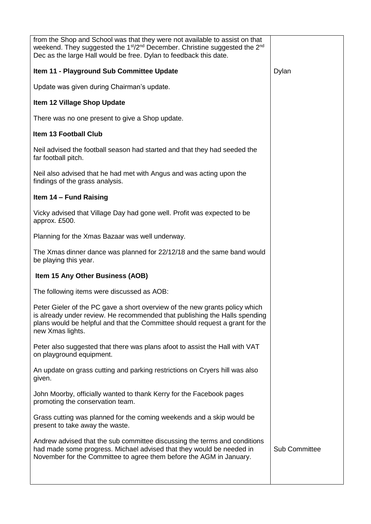| from the Shop and School was that they were not available to assist on that<br>weekend. They suggested the 1 <sup>st</sup> /2 <sup>nd</sup> December. Christine suggested the 2 <sup>nd</sup><br>Dec as the large Hall would be free. Dylan to feedback this date. |                      |
|--------------------------------------------------------------------------------------------------------------------------------------------------------------------------------------------------------------------------------------------------------------------|----------------------|
| Item 11 - Playground Sub Committee Update                                                                                                                                                                                                                          | Dylan                |
| Update was given during Chairman's update.                                                                                                                                                                                                                         |                      |
| Item 12 Village Shop Update                                                                                                                                                                                                                                        |                      |
| There was no one present to give a Shop update.                                                                                                                                                                                                                    |                      |
| <b>Item 13 Football Club</b>                                                                                                                                                                                                                                       |                      |
| Neil advised the football season had started and that they had seeded the<br>far football pitch.                                                                                                                                                                   |                      |
| Neil also advised that he had met with Angus and was acting upon the<br>findings of the grass analysis.                                                                                                                                                            |                      |
| Item 14 - Fund Raising                                                                                                                                                                                                                                             |                      |
| Vicky advised that Village Day had gone well. Profit was expected to be<br>approx. £500.                                                                                                                                                                           |                      |
| Planning for the Xmas Bazaar was well underway.                                                                                                                                                                                                                    |                      |
| The Xmas dinner dance was planned for 22/12/18 and the same band would<br>be playing this year.                                                                                                                                                                    |                      |
| <b>Item 15 Any Other Business (AOB)</b>                                                                                                                                                                                                                            |                      |
| The following items were discussed as AOB:                                                                                                                                                                                                                         |                      |
| Peter Gieler of the PC gave a short overview of the new grants policy which<br>is already under review. He recommended that publishing the Halls spending<br>plans would be helpful and that the Committee should request a grant for the<br>new Xmas lights.      |                      |
| Peter also suggested that there was plans afoot to assist the Hall with VAT<br>on playground equipment.                                                                                                                                                            |                      |
| An update on grass cutting and parking restrictions on Cryers hill was also<br>given.                                                                                                                                                                              |                      |
| John Moorby, officially wanted to thank Kerry for the Facebook pages<br>promoting the conservation team.                                                                                                                                                           |                      |
| Grass cutting was planned for the coming weekends and a skip would be<br>present to take away the waste.                                                                                                                                                           |                      |
| Andrew advised that the sub committee discussing the terms and conditions<br>had made some progress. Michael advised that they would be needed in<br>November for the Committee to agree them before the AGM in January.                                           | <b>Sub Committee</b> |
|                                                                                                                                                                                                                                                                    |                      |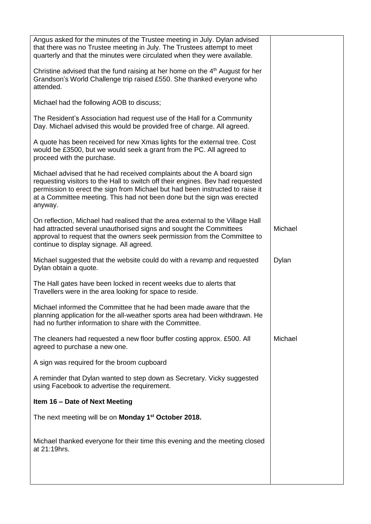| Angus asked for the minutes of the Trustee meeting in July. Dylan advised<br>that there was no Trustee meeting in July. The Trustees attempt to meet<br>quarterly and that the minutes were circulated when they were available.                                                                                                |         |
|---------------------------------------------------------------------------------------------------------------------------------------------------------------------------------------------------------------------------------------------------------------------------------------------------------------------------------|---------|
| Christine advised that the fund raising at her home on the $4th$ August for her<br>Grandson's World Challenge trip raised £550. She thanked everyone who<br>attended.                                                                                                                                                           |         |
| Michael had the following AOB to discuss;                                                                                                                                                                                                                                                                                       |         |
| The Resident's Association had request use of the Hall for a Community<br>Day. Michael advised this would be provided free of charge. All agreed.                                                                                                                                                                               |         |
| A quote has been received for new Xmas lights for the external tree. Cost<br>would be £3500, but we would seek a grant from the PC. All agreed to<br>proceed with the purchase.                                                                                                                                                 |         |
| Michael advised that he had received complaints about the A board sign<br>requesting visitors to the Hall to switch off their engines. Bev had requested<br>permission to erect the sign from Michael but had been instructed to raise it<br>at a Committee meeting. This had not been done but the sign was erected<br>anyway. |         |
| On reflection, Michael had realised that the area external to the Village Hall<br>had attracted several unauthorised signs and sought the Committees<br>approval to request that the owners seek permission from the Committee to<br>continue to display signage. All agreed.                                                   | Michael |
| Michael suggested that the website could do with a revamp and requested<br>Dylan obtain a quote.                                                                                                                                                                                                                                | Dylan   |
| The Hall gates have been locked in recent weeks due to alerts that<br>Travellers were in the area looking for space to reside.                                                                                                                                                                                                  |         |
| Michael informed the Committee that he had been made aware that the<br>planning application for the all-weather sports area had been withdrawn. He<br>had no further information to share with the Committee.                                                                                                                   |         |
| The cleaners had requested a new floor buffer costing approx. £500. All<br>agreed to purchase a new one.                                                                                                                                                                                                                        | Michael |
| A sign was required for the broom cupboard                                                                                                                                                                                                                                                                                      |         |
| A reminder that Dylan wanted to step down as Secretary. Vicky suggested<br>using Facebook to advertise the requirement.                                                                                                                                                                                                         |         |
| Item 16 - Date of Next Meeting                                                                                                                                                                                                                                                                                                  |         |
| The next meeting will be on <b>Monday 1<sup>st</sup> October 2018.</b>                                                                                                                                                                                                                                                          |         |
| Michael thanked everyone for their time this evening and the meeting closed<br>at 21:19hrs.                                                                                                                                                                                                                                     |         |
|                                                                                                                                                                                                                                                                                                                                 |         |